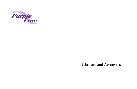

## Glossary and Acronyms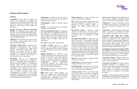## **Glossary and Acronyms**

## **Glossary**

**Accessibility: 1)** The ability of vehicles and facilities to accommodate the disabled and comply with the Americans with Disabilities Act (ADA). **2)** A measure of the ability or ease of all persons to travel among various origins and destinations.

**Advisory Council on Historic Preservation (ACHP):** An independent federal agency that provides a forum for influencing federal policy, programs, and activities as they affect historic and archaeological resources in communities and on public lands nationwide.

**Alignment:** The horizontal and vertical location of a roadway, railroad, transit route or other linear transportation facility.

**Alternative Analysis (AA):** An analysis of the engineering, environmental, and financial feasibility of alternatives for major transit projects; required before federal funds can be allocated to a project. The AA is usually combined with the Draft Environmental Impact Statement and evaluated with analysis or environmental resources and impacts.

**Alternatives:** The set of transportation improvements or projects that are compared in the EIS to determine their effectiveness in serving as potential solutions to a transportation problem. Along with the set of "Build" Alternatives, there is a "No- Build," which tests the effects of not building a project, and a "TSM/TDM baseline" alternative, which tests a series of smaller incremental steps toward accomplishing the purposes of the build alternatives. Alternatives may consist of different configurations, alignments, type of access control or transportation modes and strategies.

**BIBI:** Benthic Index of Biotic Integrity. An index that compares the macroinvertebrate community within a given stream to reference macroinvertebrate communities in the leastimpaired streams using a series of metrics.

**Anadromous:** Pertaining to fish that spend a part of their life cycle in the sea and return to freshwater streams to spawn.

**Anthropogenic:** Induced or altered by human activity.

**Aquifer:** A water-bearing rock, rock formation, or group of rock formations.

**Area of Potential Effect (APE):** The geographic area within which a transportation project may cause changes in the character of, or use of, historic properties. The APE is influenced by the scale and nature of the project, and there may be different kinds of effects caused by the undertaking.

At-Grade: On the ground, at surface level.

**Busway:** Exclusive roadway reserved for buses and emergency vehicles.

**At-Grade Crossing:** Same as a "grade crossing." A rail crossing with roadways or streets on the same level as the tracks, resulting in a level intersection of both modes. See grade separation.

**Baseline Alternative:** An alternative in the AA/EIS process that seeks to attain as much as possible of the goals of the build alternatives through a series of smaller, less expensive measures. Under NEPA the baseline is called the Transportation System Management (TSM/TDM) alternative. The Federal News Starts process requires a robust alternative called the (New Starts) Baseline Alternative.

**Below grade:** Placed below the ground surface, as with a subway or tunnel.

**Build Alternative:** A project alternative that involves a major capital investment.

**Bus:** Rubber-tired vehicles operating on fixed routes and schedules on roadways. Buses are powered by diesel, gasoline, battery or alternative fuel engines contained within the vehicle.

**Bus Priority System:** A system of traffic controls in which buses are given special treatment over other forms of transportation (e.g., bus priority lanes or preemption of traffic signals).

**Bus Rapid Transit (BRT):** A rubber-tired rapid transit mode that is a permanently integrated system of facilities, services and amenities that collectively improve the travel time, reliability and identity of traditional bus transit. BRT routes may be in exclusive right of way, reserved lanes in streets, or lanes shared with other traffic. These systems often use intelligent transportation systems technology, priority for transit, rapid and convenient fare collection, and integration with land use policy in order to substantially upgrade bus system performance.

**Capital Costs:** The one-time expenses incurred to design and build a transit system.

**Catadromous fish:** Fish that live most of their lives in freshwater, but migrate to seawater to spawn. American eels are catadromous.

**Catenary System:** Electric power system using an overhead contact wire and its supporting cables and wires. The contact wire provides an electrical power source for vehicles via pantographs, the contact mechanism on the roof of the vehicles.

**Purple** 

**Clean Air Act (CAA):** Federal legislation that sets air quality standards. Sometimes cited as CAAA, Clean Air Act and Amendments of 1990.

**Conductivity:** A measure of the ability of water to conduct an electric current. It is related to the type and concentrations of dissolved ions in the water.

**Connectivity:** Connecting various transportation modes and services to minimize wait times between transfers and reduce overall travel time.

**Constrained Long Range Plan (CLRP):**  Responds to federal requirements that funding sources be identified for all strategies and projects included in long-range plans. Updated at least every three years, the CLRP includes only those projects and strategies that can be implemented over the planning period with funds that are reasonably expected to be available.

**Consolidated Transportation Program (CTP)**. The Maryland CTP presents the detailed listings and descriptions of the capital projects that are proposed for construction, or for development and evaluation during the next six-year period.

**Construction Impact:** Temporary impact that would occur over a short period of time while a project is under construction.

**Constructive Use Impact:** An impact adversely impacting activities on or enjoyment of a property without directly acquiring the property or any portion of the property. A new noisy project adjacent to a previously quiet outdoor theater would be an example of a constructive use impact.

**Corridor:** A long, generally slender land area surrounding an existing or planned transportation facility. The general purpose of a corridor is to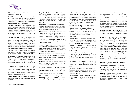

define a study area for future transportation planning improvements.

**Cost Effectiveness Index:** A measure of the effectiveness of a transit project using measured cost per new rider. The Federal Transit Administration has replaced this measure with Transportation System User Benefit.

**Cultural Resources:** Archaeological and historic resources eligible for or listed on the National Register of Historic Places. Cultural resources include buildings, sites, districts, structures, or objects having historical, architectural, archaeological, cultural, or scientific importance.

**Cumulative impact:** Impact that "results from incremental consequences of an action when added to other past and reasonably foreseeable future actions." The cumulative effects of an action may be undetectable when viewed in the individual context of direct and indirect impacts but can add to other disturbances and eventually lead to a measurable environmental change.

**Cut and Cover:** A tunnel construction method that involves excavating a large trench, building a roof structure, and then covering it with earth.

**Design Year:** The year for which the facility is designed. The transit facility should be able to handle the traffic forecasted for that year which is generally 20 to 25 years in the future.

**de minimis:** Of insufficient significance. A de minimis contribution means that the environmental conditions would essentially be the same whether or not the proposed project is implemented. Used to evaluate impacts to parks under a 4(f) evaluation.

**Dissolved oxygen (DO):** The amount of free (not chemically combined) oxygen dissolved in water, wastewater, or other liquid, usually expressed in milligrams per liter, parts per million, or percent of saturation.

**Dedicated Lanes:** Travel lanes in a roadway which are reserved for transit use, often by striping or signage. These lanes are not physically separated from regular traffic and can be crossed by other vehicles. Lanes can be dedicated during peak hours only.

**Demand Forecasting:** A technique of estimating the number and travel times of potential users of a system.

**Design Speed:** The speed used for design and relationship of the physical features of a highway or rail that influence vehicle operation. It is the maximum safe speed that can be maintained over a specified section of highway or rail when conditions are favorable (i.e. – clear, dry, daylight).

**Determination of Eligibility:** The process of assembling documentation to render professional evaluation of the historical significance of a property. Departments of Transportation, in consultation with the State Historic Preservation Office, apply the National Register of Historic Places criteria when deciding matters of historical significance.

**Double track:** Two sets of tracks side by side, most often used for travel in opposite directions.

**Ephemeral stream:** Have flowing water only during and for a short duration after precipitation events in a typical year. Groundwater is not a source of water for the stream.

**Draft Environmental Impact Statement:** see Environmental Impact Statement

**Dwell Time:** The time, in seconds, that a transit vehicle spends at each stop waiting for passengers to alight and board.

**Exclusive Rights-of-Way:** Roadways, guideways, or other right-of-way reserved at all times for transit use.

**Easement:** A temporary or permanent right to use the land of another for a specific purpose sometimes referred to as a "deed restriction". Easements may be purchased from the property owner or donated by the owner to an agency.

**Effects:** "Effects" and "impacts" are synonymous. Effects include ecological, aesthetic, historic, cultural, economic, social, or health, whether direct, indirect, or cumulative. Effects may also include those resulting from actions that may have both beneficial and detrimental effects, even if on balance the agency believes that the effect will be beneficial. Effects include: (1) direct effects that are caused by the action and occur at the same time and place, and (2) indirect effects that are caused by the action and are later in time or farther removed in distance but are still reasonably foreseeable. Indirect effects may include growth-inducing effects and other effects related to induced changes in the pattern of land use, population density or growth rate, and related effects on air and water and other natural systems, including ecosystems.

**Electrofishing:** A method of collecting fish in which fish are momentarily stunned by an electrical current passing through the water, allowing for capture and examination.

**Elevated Guideway:** A guideway that is positioned above the normal activity level (e.g. elevated over a street) either on an embankment or on a bridge.

**Eminent Domain:** Authority of the Agency to acquire property at fair market value for public purposes (not to be confused with meaning public buildings and improvements only). Also know as condemnation.

**Endangered:** An organism of very limited numbers that may be subject to extinction and is protected by law under the Endangered Species Act.

**Envelope:** Definition of the vertical and horizontal space required for both the transit vehicle and/or the guideway. Also called operating envelope.

**Environmental Impact Statement:** A public document that a Federal agency prepares under NEPA to document the expected impacts of a

development or action on the surrounding natural and human environment. The document must detail efforts to avoid, minimize or mitigate any adverse impacts.

**Environmental Justice (EJ):** Presidential Executive Order 12898 requires federal agencies to ensure that their actions (or actions they oversee) do not disproportionately discriminate against or impact minority populations and low income populations.

**Epifaunal :** "Epi" means surface, and "fauna" means animals. Thus, "epifaunal substrate" are structures in the stream (on the stream bed) that provide surfaces on which animals can live. In this case, the animals are aquatic invertebrates (such as aquatic insects) or benthic fish species. These insects live on or under cobbles, boulders, logs, and snags, and the many cracks and crevices found in these structures. In general, older decaying logs are better suited for insects to live on/in than newly fallen "green" logs and trees.

**Express:** Express transit service is characterized by making few or no intermediate stops, and traveling faster than regular or local service.

**Fare Box Revenue:** Value of cash, tickets, tokens and pass receipts given by passengers as payment for rides; excludes charter revenue.

**Feasible:** Feasible means capable of being accomplished in a successful manner within a reasonable period of time, taking into account economic, environmental, social, and technological factors.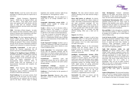**Feeder Service:** Local bus service that moves passengers to collection points for express bus or rail service.

FEMA: Federal Emergency Management Agency. FEMA has ten regional offices, and two area offices. Each region serves several states, and regional staff work directly with the states to help plan for disasters, develop mitigation programs, and meet needs when major disasters occur.

**Final Design:** The final engineering phase of a project's design process. During final design, contract plans and specifications necessary for bidding are prepared. These contract documents provide all the necessary information needed by suppliers and contractors to construct the project.

**FIBI:** Fish Index of Biotic Integrity. An index that compares the fish community within a given stream to reference fish communities in the leastimpaired streams using a series of metrics.

Fixed Guideway: For rail transit systems, fixed guideways are the rail tracks. For bus systems, fixed guideways are roadways that can only be used by the buses. Federal usage in funding

**Financially Constrained:** A term used to describe the financial requirement that all projects must have an identified funding source.

**Finding of No Significant Impact (FONSI):** A document prepared by a federal agency showing why a proposed action would not have a significant impact on the environment and thus would not require preparation of an Environmental Impact Statement (EIS). A FONSI results from the preparation of an Environmental Assessment and completes the NEPA process.

**FIRM:** Flood Insurance Rate Maps. Maps produced by the Federal Emergency Management Agency (FEMA) to determine the locations of flood risks and hazards.

legislation also includes exclusive right-of-way bus operations as "fixed guideway" transit.

**Floodplain (100-year):** the area adjacent to a stream that is on average inundated once a century.

**Geographic information system (GIS):** A computer system capable of storing and manipulating spatial data.

> **Independent Utility:** A project is said to have independent utility if it will provide functional improvements that can stand alone and serve a major purpose, even if no other improvements are made in the region.

**Grade:** 1. Refers to a rise in elevation within a specified distance. For example, a 1 percent grade is a 1-foot or 0.305 meter rise in elevation in 100 feet or 30.5 meters of horizontal distance. 2. The rate of upward or downward slope of a roadway, expressed as a percent. 3. "At grade" refers to a transportation facility built at ground level. in a level intersection of both modes. See grade separation.

> **Intermodal:** The ability to connect, and the connections between different modes of transportation.



**Grade Separated Crossings:** Facilities such as overpasses, underpasses, skywalks or tunnels that allow pedestrians and/or motor vehicles to cross a street at different levels.

**Grade Separation:** Two transportation rightsof-way that are separated vertically and for which there is no shared common intersection. A transit right-of-way may be fully grade-separated or partially grade- separated.

**Groundwater:** Subsurface water and underground streams that can be collected with wells, or that flow naturally to the earth's surface through springs.

Level of Service (LOS): A qualitative measure describing operational conditions within a traffic stream; generally described in terms of such factors as speed and travel time, freedom to maneuver, traffic interruptions, comfort and convenience, and safety. LOS A represents free flow and LOS F represents gridlock.

**Groundwater recharge:** Increases in groundwater storage by natural conditions or by human activity. See also artificial recharge.

**Guideway:** A fixed facility for the operation of transit vehicles

**Hazardous Materials:** Material, often waste, that poses a threat to human health and/or the environment.

**Headway:** The time interval between transit vehicles operating in the same direction along a fixed route.

**Heavy Rail (metro, or subway):** An electric railway with the capacity for a heavy volume of traffic. This mode is characterized by high speed and rapid acceleration passenger rail cars operating singularly or in multi-car trains on fixed rails, separate rights-of-way (either above or below ground) from which all other vehicle and pedestrian traffic are excluded, and high platform loading. Often uses a third rail for power.

**Impacts:** See Effects.

**Indirect Effects:** Impacts on the environment resulting from the primary impact of the proposed action but occurring later in time or farther removed in distance, although still reasonably foreseeable.

**Intelligent Transportation Systems (ITS):**  Computer-based technology applications designed to increase capacity, move traffic and transit more safely and efficiently, and to supply information to travelers. Examples include global positioning systems for locating vehicles and traffic signal priority for giving preferential green time to transit vehicles at intersections.

**Intermittent stream:** Streams that have flowing water during certain times of the year. Groundwater driven; runoff from rainfall or snowmelt is a supplemental source of water.

**Joint Development:** Ventures undertaken together by the public and private sectors for development of land around transit stations or stops. See also transit oriented development.

**Jurisdictional Determination (JD):** A written statement issued by the U.S. Army Corps of Engineers that identifies areas within a discrete project area that are subject to Clean Water Act regulation. Usually refers to the regulating of a wetland or stream and its boundaries.

**Kiss-and-Ride:** A drive-through area, sometimes with short-term parking, to allow passengers to be dropped off or picked up at a transit station, with or without a kiss.

**Light Rail (streetcar, trolley car, and tramway):** An electric railway with a "light volume" traffic capacity compared to heavy rail. Light rail is characterized by passenger rail cars operating individually or in short, usually twocar, trains. Light rail vehicles are typically driven electrically with power being drawn from an overhead electric line via a trolley or a pantograph. They can run on either exclusive rights-of-way with or without grade crossings, or in mixed traffic lanes on city streets.

**Limited English Proficient (LEP):** The limited ability to read, write, speak or understand English.

**Limits of Disturbance:** The horizontal boundary where soil will be exposed during construction activities. The limits of disturbance includes but is not limited to the limits of excavation, borrow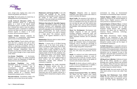

areas, storage areas, staging areas, areas to be cleared and grubbed, and roadways.

**Line Haul:** The trunk portion of a transit trip, as distinguished from local distribution.

**Locally Preferred Alternative (LPA):** The project alternative chosen by a sponsoring agency as a result of the federal project development process. It defines the alternative that is deemed best suited to meet the region's transportation goals, is responsive to community concerns and input and has been examined and declared superior in relation to its social, economic and environmental impacts.

**Logical Termini:** Rational endpoints for consideration of transportation improvements and for review of environmental impacts.

**Low Floor Vehicles:** Transit vehicles with lower floors that have a step-less entry and so allow wheelchairs to roll directly into the vehicle. In addition to improving accessibility, low floors also allow fully-mobile passengers to board more quickly. Passenger compartment floors are generally no more than 14 inches above the rail or street surface through at least a major portion of the vehicle

**Low-Income Population:** A low-incomehousehold is one where the median household income is below the Department of Health and Human Services poverty guidelines.

**Low-Income Population:** Any readily identifiable group of low-income persons who live in geographic proximity, and if circumstances warrant, geographically dispersed/transient persons (such as migrant workers or Native Americans) who will be similarly affected by a proposed federal transportation program, policy, or activity.

**Minority:** A person who is: (1) Black (having origins in any of the black racial groups of Africa); (2) Hispanic (of Mexican, Puerto Rican, Cuban, Central or South American, or other Spanish culture or origin, regardless of race); (3) Asian American (having origins in any of the original peoples of the Far East, Southeast Asia, the Indian subcontinent, or the Pacific Islands); or (4)American Indian and Alaskan Native (having origins in any of the original people of North America and who maintains cultural identification through tribal affiliation or community recognition).

**Macroinvertebrate:** Invertebrates visible to the naked eye, such as insect larvae and crayfish.

**Mitigation:** Mitigation refers to measures undertaken when impacts remain after efforts to avoid or minimize the impacts.

**Maintenance and Storage Facility:** A site with facilities and buildings for the storage, maintenance, and cleaning of transit vehicles and the storage of other system maintenance equipment. May also include crew facilities such as locker rooms and break facilities.

**Minimum Operating (Or Operable) Segment:**  A smaller, cost-effective portion of the locally preferred alternative with independent utility (meaning it can function as a stand-alone project and not be dependent on the construction of any future segments).Often, the locally preferred alternative is too large or too costly to construct in a single phase. The minimum operable segment is the segment identified as first to construct.

**Minimization:** Measures taken to reduce adverse impacts on the environment.

**Minority Population:** Any readily identifiable groups of minority persons who live in geographic proximity, and if circumstances warrant, geographically dispersed/transient persons (such as migrant workers or Native Americans) who will be similarly affected by a proposed federal transportation program, policy, or activity

**Off-Board Fare Collection: Collection of transit** fares off the vehicle, typically at a station. Boarding time is greatly reduced with off-board fare collection. When off board fare collection is used, verification of fare payment is often made by random inspection onboard vehicles.

**Mixed Traffic:** The operation of rail vehicles on public roads with car and truck traffic. Where rail tracks are embedded in the road, rail vehicles and cars can share the same road. Rail vehicles must obey all traffic laws, such as speed restrictions and stoplights, when operating in areas of mixed traffic.

**Mixed Use Development:** Development with multiple categories of land use typically including residential, commercial, retail, and entertainment. Mixed-use areas generally have higher population densities and are pedestrian friendly.

**Modal Split:** A term that describes how many people use alternative forms of transportation. Frequently used to describe the percentage of people using private automobiles as opposed to the percentage using public transportation.

**Mode:** Refers to a specific form of transportation (auto, bus, LRT, heavy rail, pedestrian, bicycle, etc.).

**Model:** An analytical tool (often mathematical) used by transportation planners to assist in making forecasts of land use, economic activity, travel activity and their effects on the quality of resources such as land, air and water.

**Monorail:** An electric railway in which a rail car or train of cars is suspended from or straddles a guideway formed by a single beam or rail.

**Multimodal:** Having or involving several modes of transportation.

**National Environmental Policy Act (NEPA):**  The federal law that requires every federal agency to evaluate the effect of its proposed actions on the natural and man-made environment by doing an Environmental Assessment or Environmental Impact Statement.

**National Register eligible:** Cultural resources eligible for inclusion on the National Register of Historic Places. Eligible resources receive the same protection as registered resources.

**National Register of Historic Places**: A federal listing of historic resources protected under the National Historic Preservation Act of 1966. Properties include districts, sites, buildings, structures, and objects that are significant in American history, architecture, archeology, engineering, and culture.

**New Start:** Discretionary federal funding program for the construction of new fixed guideway systems or extensions of existing fixed guideway systems, based on cost effectiveness, alternatives analysis results and the degree of local financial commitment.

**No-Build Alternative:** A reasonable alternative showing projected future conditions of an area in the absence of the proposed project, which serves as a benchmark to which the impacts of the build alternatives can be compared. As part of this alternative, short-term minor reconstruction, such as safety upgrading and maintenance projects, can be considered.

**Off-Peak Period:** Non-rush periods of the day when travel activity is lower, also called "base period."

**Operating And Maintenance Costs (O&M Costs):** All cost involved with running a transit system, including labor for operations and for vehicle and fixed facility maintenance, fuel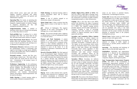and/or electric power, spare parts and other supplies, insurance premiums and claims payments, direct supervision, and general and administrative expenses.

**Operating Plan:** For transit, an operating plan detailing characteristics such as running times, frequency, required number of vehicles, changes in frequency throughout the day, and assumptions pertaining to stations.

Park-and-Ride Lot: A parking lot to which passengers drive their cars, leave them for the day, and either board transit vehicles or carpool.

**Origin-Destination Study:** A method to determine where trips are coming from and going to, or where they desire to travel.

**Peak (Peak Period, Rush Hours):** The period during which the maximum amount of travel occurs. It may be specified as the morning (a.m.) or afternoon or evening (p.m.) peak.

**Performance Measures:** Indicators of how well the transportation system is performing with regard to such things as average speed, reliability of travel, and accident rates. Used as feedback in the decision-making process.

**pH:** (Power of Hydrogen); The negative logarithm of the molar concentration of the hydrogen ion, or, more simply acidity.

**Portal:** The structure through which a highway or railroad enters or exits an underground tunnel to or from the surface.

**Perennial streams:** Streams that flow yearround during a typical year. The water table is located above the stream bed for most of the year. Groundwater is the primary source of water for stream flow.

**Preliminary Engineering:** At the preliminary engineering phase the design is approximately 30 percent complete. The deliverables at the 30 percent submittal includes contract drawings, specifications, design calculations and a preliminary cost estimate. Environmental impacts and property impacts/requirements will be noted on the plans.

**Public Hearing:** A formal meeting called to receive public comment on proposed action.

**Public Meeting:** An informal meeting called to present information about and to discuss proposed action.

**Queue:** A line of vehicles stopped at an intersection, merge or diverge point.

**Queue Jump Lane:** A short, exclusive lane that allows buses to move to the head of a line of traffic.

**Purpose and Need Statement:** A project purpose is a broad statement of the overall objective to be achieved by a proposed action. Need is a more detailed explanation of the specific transportation problems that exist or are expected to occur in the future. It is the foundation to determine if alternatives meet the needs in the area.

**Record of Decision (ROD):** The final approval of an Environmental Impact Statement which will be issued by Federal Transit Administration. It is a public document that explains the reasons for a project decision and summarizes any mitigation measures that will be incorporated in the project. Obtaining the ROD is the last step in the NEPA process. After a ROD is received, permits and right-of-way can be acquired.

**Ridership:** The number of rides taken by people using a public transportation system in a given time period.

**Riprap:** Rock or other material with a specific mixture of sizes referred to as a "gradation," used to stabilize streambanks or riverbanks from erosion or to create habitat features in a stream.

**(Public) Right-of-Way (ROW or R/W):** The area over which a legal right of passage exists; land used for public purposes in association with the construction or provision of public facilities, transportation projects, or other infrastructure.

**Scoping:** This is the first step in the NEPA process and determines the range of proposed actions, alternatives, and impacts to be discussed in a DEIS. The required scoping process provides agencies and the public opportunity to comment. Scoping is used to encourage cooperation and early resolutions of potential conflicts, to improve decisions, and to reduce paperwork and delay.

**Secondary and Cumulative Effects Analysis (SCEA):** Secondary or indirect impacts are "caused by the action and are later in time or farther removed in distance, but are still reasonably foreseeable." Cumulative effects are "the impact on the environment which results from the incremental impact of the action when added to other past, present, and reasonable foreseeable future actions regardless of what agency (Federal, or non-Federal) or person undertakes such other actions." Potential secondary and cumulative effects on the environment must be assessed as required by the National Environmental Policy Act (NEPA).

**Secondary Effects:** Secondary (or indirect) effects are those that are caused by an action and are later in time or farther removed in distance but are still reasonably foreseeable. Secondary effects can include changes in land use, water quality, economic vitality or population density. An example of a secondary effect of a transit project would be new housing or commercial development near station areas – development that is not constructed as part of the project itself, but that occurs as a result of the project.

**Section 106:** The section of the National Historic Preservation Act that requires federal agencies to consider the potential effects of proposed federal



action on any known or potential historic, architectural, or archaeological resources.

**Section 4(f):** Section 4(f) of the US Department of Transportation Act of 1966, which includes a national policy to make special effort to preserve the natural beauty of the countryside, public parks and recreation lands, wildlife and waterfowl refuges, and significant historic sites. Use of these lands for a transportation project will be permitted only when it has been determined that there is no feasible and prudent alternative and the project includes all possible planning to minimize harm to the property resulting from such use.

**Shared Lanes:** Surface streets in which transit operates in lanes with regular traffic.

**Signal prioritization:** Technique of altering the sequence or timing of traffic signals at intersections to provide priority treatment for transit vehicles.

**Spawning:** The depositing and fertilizing of eggs (or roe) by fish and other aquatic life.

**Stakeholders:** Individuals and organizations involved in or affected by the transportation planning process. Include federal/state/local officials, MPOs, transit operators, freight companies, shippers, and the general public.

**State Transportation Improvement Program (STIP):** The STIP is the accumulation of transportation improvement programs of the state's (6) MPOs and the projects programmed in the non-MPO areas of the state. In Maryland, it is primarily the Program of Projects included in the State's Six Year Consolidated Transportation Program. The first two years of the program are projects incorporated into the state's annual budget. The remaining four years are projects programmed with level of certainty that funding will be approved in subsequent state budget bills. The STIP is financially constrained and the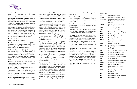

projection of revenues in future years are analyzed and approved by the state's (non-partisan) revenue forecasting committee.

**Stormwater Management (SWM):** Physical design features such as ponds, bioretention, or drainage swales that retain or direct stormwater run-off in a manner that controls discharge volumes and/or water quality.

**Streetscape:** The space between the buildings on either side of a street that defines its character. The elements of a streetscape can be natural or man-made and include buildings, set back of buildings, sidewalks, signs, public furnishings, trees, landscaping, street lights, above-ground utilities, bus stop shelters and street furniture.

**Terminal Station:** The last bus or rail station where a route or line terminates.

**Traction Power Substation (TPSS):**  Substations converting alternating current from the power grid to the voltage and type of current needed for the LRT or streetcar vehicle.

**Traffic Analysis Zone (TAZ):** A geographic area typically ranging in size from a city block to a one-square-mile section (or larger) used in computer models that project changes in traffic flow based on estimated land use changes, population growth, employment growth, and other factors.

**Transfer:** The portion of a trip between two connecting transit routes, both of which are used for completion of the trip.

**Transit Center:** A primary station in a multidestination transit system where passengers may conveniently transfer among trunk lines, local feeder routes, and/or modes. Also referred to as intermodal transfer facilities, transportation centers, stations, and terminals.

**Transit Dependent Population: Generally those** without their own means of transportation (e.g., zero-car households, children, low-income groups, some elderly, and those who are unable to operate a vehicle due to a physical disability).

**Transit Oriented Development (TOD):** A term used for urban development that encompasses a direct and planned access to transit facilities.

**Transportation Demand Management (TDM):**  A program that improves transportation system efficiency by altering transportation system demand using such strategies and facilities as: pricing, ridesharing; park-and-ride facilities, transit friendly development / zoning; and employer-based programs—such as staggered work hours and telecommuting. TDM programs improve the efficiency of existing facilities by changing demand patterns rather than embarking on capital improvements.

> Yard and Shop: See Maintenance and Storage Facilities.

**Transportation System Management (TSM):**  That part of the urban transportation process undertaken to improve the efficiency of the existing transportation system. The intent is to make better use of the existing transportation system by using short term, low capital transportation improvements that generally cost less and can be implemented more quickly than system development actions. TSM strategies consider such options as improvements to public transit systems, minor intersection improvements, signal timing improvements, and traffic management.

**Transportation System User Benefit:** A measurement of the project benefit. The measurement divides the cost (including capital, and operations and maintenance) by the travel time savings of all users of the transit system (including existing and new riders). This measure is part of the FTA New Starts evaluations.

**Travel Demand Forecast:** A forecast for travel demand on future or modified transportation system alternatives using existing or projected land use, socioeconomic, and transportation services data.

**Travel Time:** The average time required to travel between two points, including delays at intersection, but not including terminal or waiting time.

**Tunnel:** an underground alignment which can be constructed using either cut and cover or deep boring methods.

**Turbidity:** An optical measure of the clarity of water by light scattering from suspended and dissolved constituents in the water column.

**Viewshed:** A viewshed is an area visible from a fixed vantage point. A viewshed can be an area of particular scenic or historic value deemed worthy of preservation. A viewshed can be an area viewed from a transportation facility or can be an area viewed from the area near or looking at the transportation facility including the facility.

**Wetlands**: As defined by the U.S. Army Corps of Engineers, wetlands are areas that are inundated or saturated by surface water or groundwater sufficiently to support a prevalence of vegetation typically adapted for life in saturated soil conditions. Wetlands generally include swamps, marshes, and similar areas and are subject to protection under Executive Order 11990 and Section 404 of the Clean Water Act.

## **Acronyms**

| AA            | <b>Alternatives Analysis</b>                                                                  |  |  |  |
|---------------|-----------------------------------------------------------------------------------------------|--|--|--|
| <b>AADT</b>   | <b>Average Annual Daily Traffic</b>                                                           |  |  |  |
| <b>AASHTO</b> | <b>American Association of State</b><br><b>Highway and Transportation</b><br><b>Officials</b> |  |  |  |
| <b>ACHP</b>   | <b>Advisory Council on Historic</b><br>Preservation                                           |  |  |  |
| ADT           | <b>Average Daily Traffic</b>                                                                  |  |  |  |
| APE           | Area of Potential Effect                                                                      |  |  |  |
| BIBI          | Benthic Index of Biotic Integrity                                                             |  |  |  |
| <b>BMPs</b>   | <b>Best Management Practices</b>                                                              |  |  |  |
| BRAC          | <b>Base Realignment and Closure</b>                                                           |  |  |  |
| BRT           | <b>Bus Rapid Transit</b>                                                                      |  |  |  |
| <b>BTEX</b>   | Benzene, Toluene, Ethylbenzene<br>and Xylene                                                  |  |  |  |
| CAA           | Federal Clean Air Act                                                                         |  |  |  |
| <b>CERCLA</b> | Comprehensive Environmental<br>Response, Compensation and<br><b>Liability Act</b>             |  |  |  |
| CEQ           | <b>Council on Environmental Quality</b>                                                       |  |  |  |
| <b>CFR</b>    | Code of Federal Regulations                                                                   |  |  |  |
| <b>CLRP</b>   | <b>Constrained Long Range Plan</b>                                                            |  |  |  |
| <b>CTP</b>    | <b>Consolidated Transportation Plan</b>                                                       |  |  |  |
| <b>CWA</b>    | <b>Clean Water Act</b>                                                                        |  |  |  |
| <b>CWP</b>    | <b>Center for Watershed Protection</b>                                                        |  |  |  |
| <b>CZMA</b>   | <b>Coastal Zone Management Act</b>                                                            |  |  |  |
| DBP           | Disinfection By-Product                                                                       |  |  |  |
| <b>DEIS</b>   | <b>Draft Environmental Impact</b><br>Statement                                                |  |  |  |
| <b>DNR</b>    | Maryland Department of Natural<br>Resources                                                   |  |  |  |
| DO            | Dissolved Oxygen                                                                              |  |  |  |
| EIS           | <b>Environmental Impact Statement</b>                                                         |  |  |  |
| EJ            | <b>Environmental Justice</b>                                                                  |  |  |  |

Page 6 • **Glossary and Acronyms**